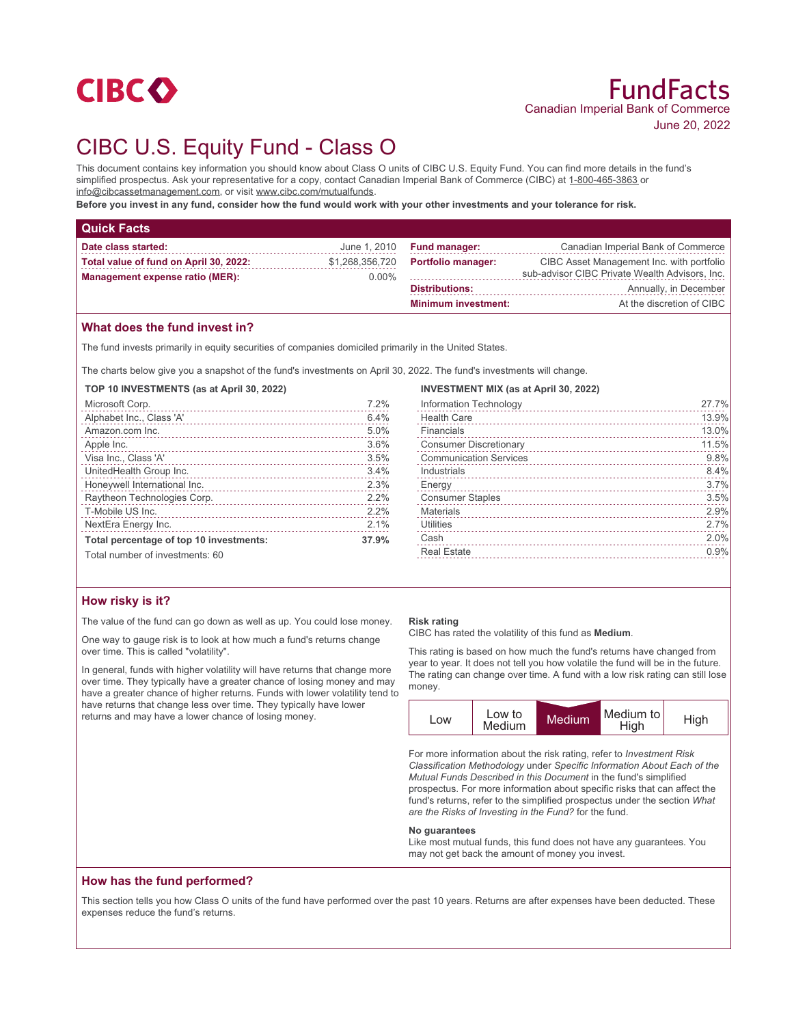

# CIBC U.S. Equity Fund - Class O

This document contains key information you should know about Class O units of CIBC U.S. Equity Fund. You can find more details in the fund's simplified prospectus. Ask your representative for a copy, contact Canadian Imperial Bank of Commerce (CIBC) at 1-800-465-3863 or info@cibcassetmanagement.com, or visit www.cibc.com/mutualfunds.

**Before you invest in any fund, consider how the fund would work with your other investments and your tolerance for risk.**

| <b>Quick Facts</b>                     |                 |                            |                                                |
|----------------------------------------|-----------------|----------------------------|------------------------------------------------|
| Date class started:                    | June 1, 2010    | <b>Fund manager:</b>       | Canadian Imperial Bank of Commerce             |
| Total value of fund on April 30, 2022: | \$1,268,356,720 | <b>Portfolio manager:</b>  | CIBC Asset Management Inc. with portfolio      |
| <b>Management expense ratio (MER):</b> | $0.00\%$        |                            | sub-advisor CIBC Private Wealth Advisors, Inc. |
|                                        |                 | <b>Distributions:</b>      | Annually, in December                          |
|                                        |                 | <b>Minimum investment:</b> | At the discretion of CIBC                      |

## **What does the fund invest in?**

The fund invests primarily in equity securities of companies domiciled primarily in the United States.

The charts below give you a snapshot of the fund's investments on April 30, 2022. The fund's investments will change.

| TOP 10 INVESTMENTS (as at April 30, 2022) |       |
|-------------------------------------------|-------|
| Microsoft Corp.                           | 7.2%  |
| Alphabet Inc., Class 'A'                  | 6.4%  |
| Amazon.com Inc.                           | 5.0%  |
| Apple Inc.                                | 3.6%  |
| Visa Inc., Class 'A'                      | 3.5%  |
| UnitedHealth Group Inc.                   | 3.4%  |
| Honeywell International Inc.              | 2.3%  |
| Raytheon Technologies Corp.               | 2.2%  |
| T-Mobile US Inc.                          | 2.2%  |
| NextEra Energy Inc.                       | 2.1%  |
| Total percentage of top 10 investments:   | 37.9% |
| Total number of investments: 60           |       |

| How risky is it? |  |  |
|------------------|--|--|
|                  |  |  |

The value of the fund can go down as well as up. You could lose money.

One way to gauge risk is to look at how much a fund's returns change over time. This is called "volatility".

In general, funds with higher volatility will have returns that change more over time. They typically have a greater chance of losing money and may have a greater chance of higher returns. Funds with lower volatility tend to have returns that change less over time. They typically have lower returns and may have a lower chance of losing money.

#### **Risk rating**

CIBC has rated the volatility of this fund as **Medium**.

This rating is based on how much the fund's returns have changed from year to year. It does not tell you how volatile the fund will be in the future. The rating can change over time. A fund with a low risk rating can still lose money.

| LOW | Low to<br>Medium | Medium | Medium to<br>High | High |
|-----|------------------|--------|-------------------|------|
|     |                  |        |                   |      |

For more information about the risk rating, refer to *Investment Risk Classification Methodology* under *Specific Information About Each of the Mutual Funds Described in this Document* in the fund's simplified prospectus. For more information about specific risks that can affect the fund's returns, refer to the simplified prospectus under the section *What are the Risks of Investing in the Fund?* for the fund.

#### **No guarantees**

Like most mutual funds, this fund does not have any guarantees. You may not get back the amount of money you invest.

### **How has the fund performed?**

This section tells you how Class O units of the fund have performed over the past 10 years. Returns are after expenses have been deducted. These expenses reduce the fund's returns.

| <b>INVESTMENT MIX (as at April 30, 2022)</b> |       |
|----------------------------------------------|-------|
| Information Technology                       | 27.7% |
| <b>Health Care</b>                           | 13.9% |
| Financials                                   | 13.0% |
| <b>Consumer Discretionary</b>                | 11.5% |
| <b>Communication Services</b>                | 9.8%  |
| Industrials                                  | 8.4%  |
| Energy                                       | 3.7%  |
| <b>Consumer Staples</b>                      | 3.5%  |
| <b>Materials</b>                             | 2.9%  |
| <b>Utilities</b>                             | 2.7%  |
| Cash                                         | 2.0%  |
| <b>Real Estate</b>                           | 0.9%  |
|                                              |       |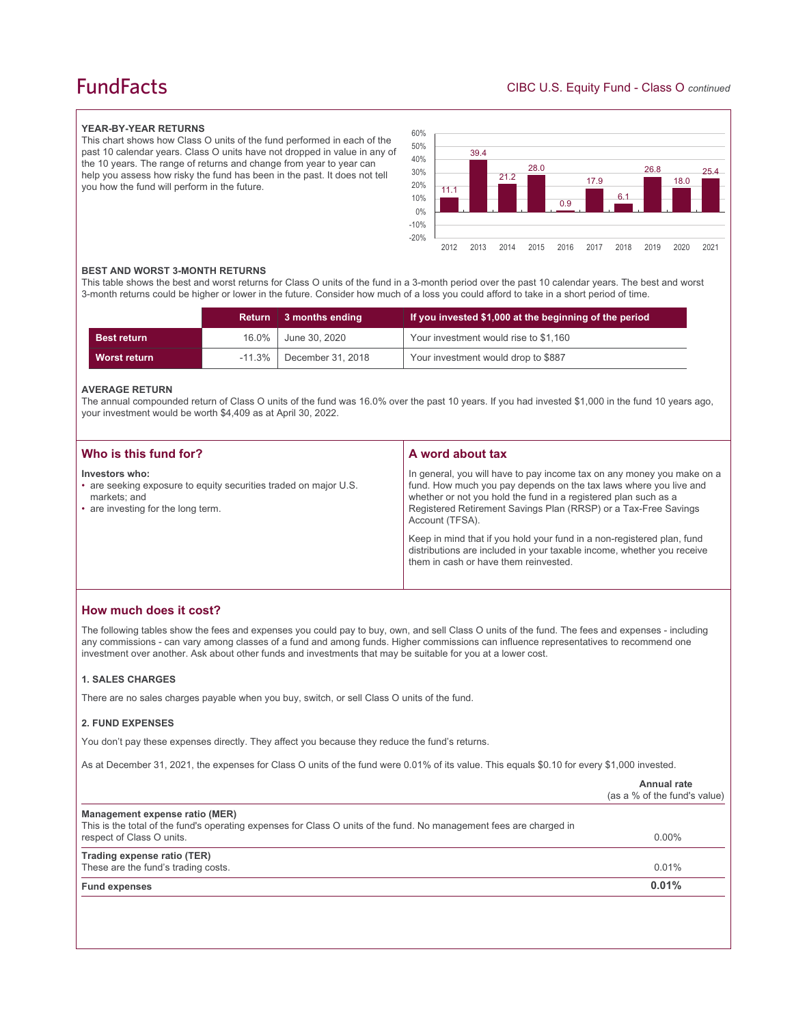## **FundFacts**

#### **YEAR-BY-YEAR RETURNS**

This chart shows how Class O units of the fund performed in each of the past 10 calendar years. Class O units have not dropped in value in any of the 10 years. The range of returns and change from year to year can help you assess how risky the fund has been in the past. It does not tell you how the fund will perform in the future.



#### **BEST AND WORST 3-MONTH RETURNS**

This table shows the best and worst returns for Class O units of the fund in a 3-month period over the past 10 calendar years. The best and worst 3-month returns could be higher or lower in the future. Consider how much of a loss you could afford to take in a short period of time.

|                    |           | Return 3 months ending | If you invested \$1,000 at the beginning of the period |
|--------------------|-----------|------------------------|--------------------------------------------------------|
| <b>Best return</b> | 16.0%     | June 30, 2020          | Your investment would rise to \$1,160                  |
| Worst return       | $-11.3\%$ | December 31, 2018      | Your investment would drop to \$887                    |

#### **AVERAGE RETURN**

The annual compounded return of Class O units of the fund was 16.0% over the past 10 years. If you had invested \$1,000 in the fund 10 years ago, your investment would be worth \$4,409 as at April 30, 2022.

| Who is this fund for?                                                                                                                    | A word about tax                                                                                                                                                                                                                                                                                     |
|------------------------------------------------------------------------------------------------------------------------------------------|------------------------------------------------------------------------------------------------------------------------------------------------------------------------------------------------------------------------------------------------------------------------------------------------------|
| Investors who:<br>• are seeking exposure to equity securities traded on major U.S.<br>markets; and<br>• are investing for the long term. | In general, you will have to pay income tax on any money you make on a<br>fund. How much you pay depends on the tax laws where you live and<br>whether or not you hold the fund in a registered plan such as a<br>Registered Retirement Savings Plan (RRSP) or a Tax-Free Savings<br>Account (TFSA). |
|                                                                                                                                          | Keep in mind that if you hold your fund in a non-registered plan, fund<br>distributions are included in your taxable income, whether you receive<br>them in cash or have them reinvested.                                                                                                            |

## **How much does it cost?**

The following tables show the fees and expenses you could pay to buy, own, and sell Class O units of the fund. The fees and expenses - including any commissions - can vary among classes of a fund and among funds. Higher commissions can influence representatives to recommend one investment over another. Ask about other funds and investments that may be suitable for you at a lower cost.

#### **1. SALES CHARGES**

There are no sales charges payable when you buy, switch, or sell Class O units of the fund.

#### **2. FUND EXPENSES**

You don't pay these expenses directly. They affect you because they reduce the fund's returns.

As at December 31, 2021, the expenses for Class O units of the fund were 0.01% of its value. This equals \$0.10 for every \$1,000 invested.

|                                                                                                                                                       | Annual rate<br>(as a % of the fund's value) |
|-------------------------------------------------------------------------------------------------------------------------------------------------------|---------------------------------------------|
| Management expense ratio (MER)<br>This is the total of the fund's operating expenses for Class O units of the fund. No management fees are charged in |                                             |
| respect of Class O units.                                                                                                                             | $0.00\%$                                    |
| Trading expense ratio (TER)                                                                                                                           |                                             |
| These are the fund's trading costs.                                                                                                                   | 0.01%                                       |
| <b>Fund expenses</b>                                                                                                                                  | 0.01%                                       |
|                                                                                                                                                       |                                             |